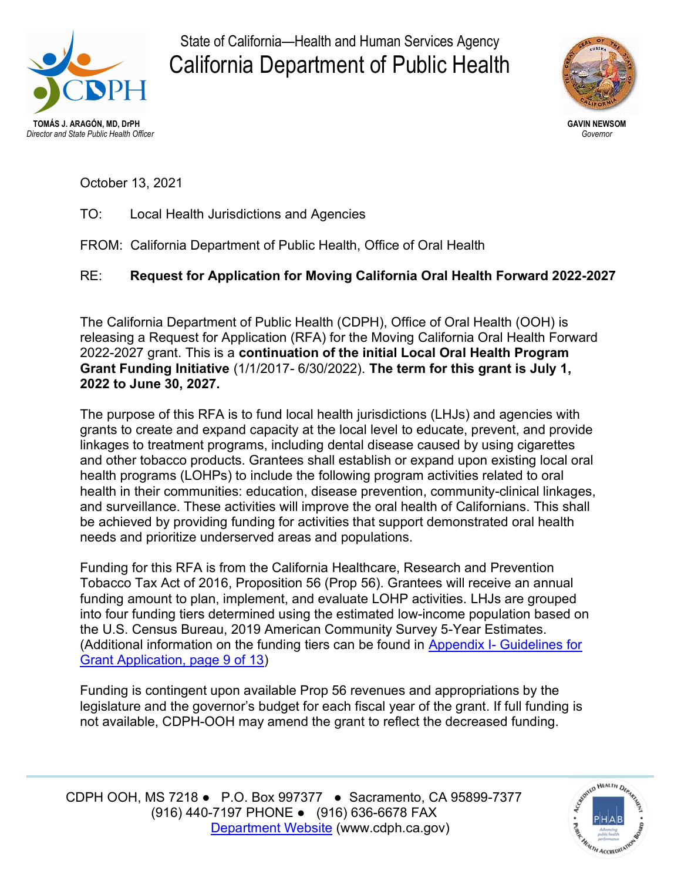

State of California—Health and Human Services Agency California Department of Public Health



October 13, 2021

TO: Local Health Jurisdictions and Agencies

FROM: California Department of Public Health, Office of Oral Health

## RE: Request for Application for Moving California Oral Health Forward 2022-2027

The California Department of Public Health (CDPH), Office of Oral Health (OOH) is releasing a Request for Application (RFA) for the Moving California Oral Health Forward 2022-2027 grant. This is a continuation of the initial Local Oral Health Program Grant Funding Initiative (1/1/2017- 6/30/2022). The term for this grant is July 1, 2022 to June 30, 2027.

The purpose of this RFA is to fund local health jurisdictions (LHJs) and agencies with grants to create and expand capacity at the local level to educate, prevent, and provide linkages to treatment programs, including dental disease caused by using cigarettes and other tobacco products. Grantees shall establish or expand upon existing local oral health programs (LOHPs) to include the following program activities related to oral health in their communities: education, disease prevention, community-clinical linkages, and surveillance. These activities will improve the oral health of Californians. This shall be achieved by providing funding for activities that support demonstrated oral health needs and prioritize underserved areas and populations.

Funding for this RFA is from the California Healthcare, Research and Prevention Tobacco Tax Act of 2016, Proposition 56 (Prop 56). Grantees will receive an annual funding amount to plan, implement, and evaluate LOHP activities. LHJs are grouped into four funding tiers determined using the estimated low-income population based on the U.S. Census Bureau, 2019 American Community Survey 5-Year Estimates. [\(Additional information on the funding tiers can be found in Appendix I- Guidelines for](https://oralhealthsupport.ucsf.edu/sites/g/files/tkssra861/f/wysiwyg/Appendix 1 - Guidelines.pdf)  Grant Application, page 9 of 13)

Funding is contingent upon available Prop 56 revenues and appropriations by the legislature and the governor's budget for each fiscal year of the grant. If full funding is not available, CDPH-OOH may amend the grant to reflect the decreased funding.